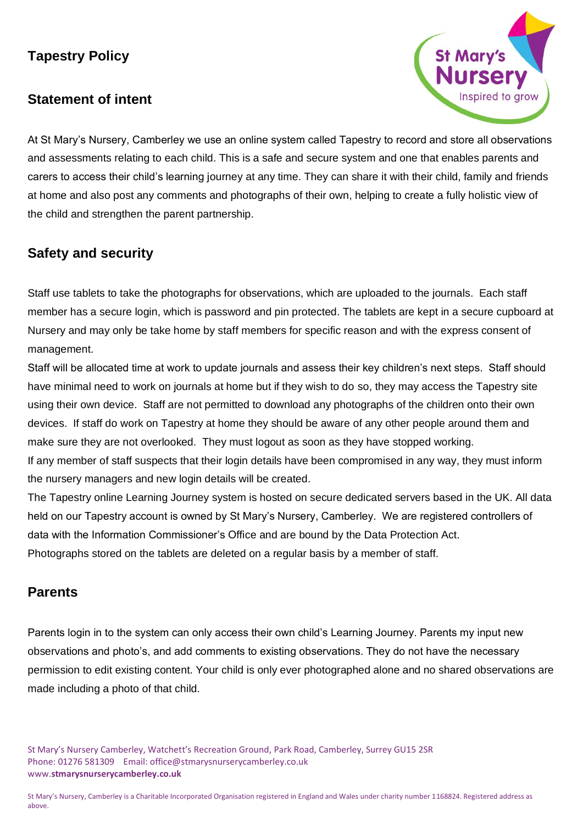# **Tapestry Policy**

# **Statement of intent**



At St Mary's Nursery, Camberley we use an online system called Tapestry to record and store all observations and assessments relating to each child. This is a safe and secure system and one that enables parents and carers to access their child's learning journey at any time. They can share it with their child, family and friends at home and also post any comments and photographs of their own, helping to create a fully holistic view of the child and strengthen the parent partnership.

# **Safety and security**

Staff use tablets to take the photographs for observations, which are uploaded to the journals. Each staff member has a secure login, which is password and pin protected. The tablets are kept in a secure cupboard at Nursery and may only be take home by staff members for specific reason and with the express consent of management.

Staff will be allocated time at work to update journals and assess their key children's next steps. Staff should have minimal need to work on journals at home but if they wish to do so, they may access the Tapestry site using their own device. Staff are not permitted to download any photographs of the children onto their own devices. If staff do work on Tapestry at home they should be aware of any other people around them and make sure they are not overlooked. They must logout as soon as they have stopped working.

If any member of staff suspects that their login details have been compromised in any way, they must inform the nursery managers and new login details will be created.

The Tapestry online Learning Journey system is hosted on secure dedicated servers based in the UK. All data held on our Tapestry account is owned by St Mary's Nursery, Camberley. We are registered controllers of data with the Information Commissioner's Office and are bound by the Data Protection Act. Photographs stored on the tablets are deleted on a regular basis by a member of staff.

#### **Parents**

Parents login in to the system can only access their own child's Learning Journey. Parents my input new observations and photo's, and add comments to existing observations. They do not have the necessary permission to edit existing content. Your child is only ever photographed alone and no shared observations are made including a photo of that child.

St Mary's Nursery Camberley, Watchett's Recreation Ground, Park Road, Camberley, Surrey GU15 2SR Phone: 01276 581309 Email: office@stmarysnurserycamberley.co.uk www.**stmarysnurserycamberley.co.uk**